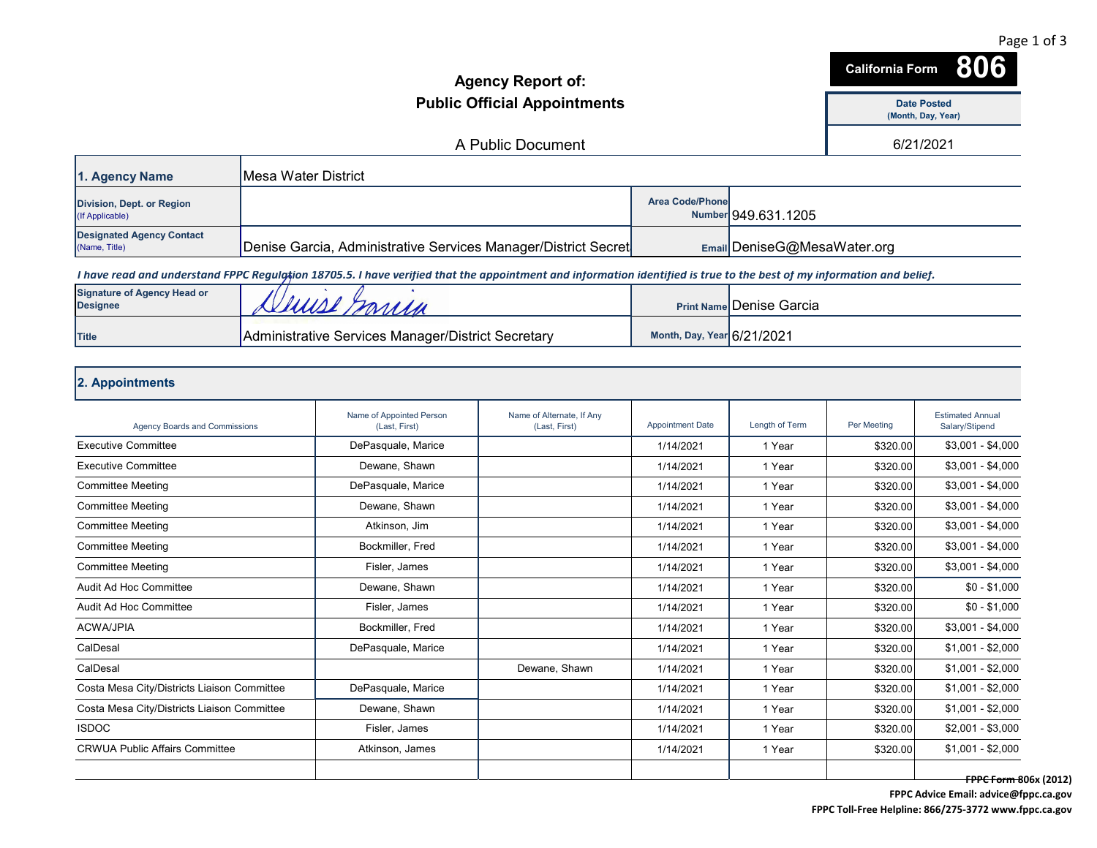|                                                       |                                                                |                                                                                                                                                                       | <b>Agency Report of:</b>                   |                            |                                  | <b>California Form</b>                   | 806                                       |
|-------------------------------------------------------|----------------------------------------------------------------|-----------------------------------------------------------------------------------------------------------------------------------------------------------------------|--------------------------------------------|----------------------------|----------------------------------|------------------------------------------|-------------------------------------------|
|                                                       | <b>Public Official Appointments</b>                            |                                                                                                                                                                       |                                            |                            |                                  | <b>Date Posted</b><br>(Month, Day, Year) |                                           |
|                                                       |                                                                |                                                                                                                                                                       | A Public Document                          |                            |                                  |                                          | 6/21/2021                                 |
|                                                       |                                                                |                                                                                                                                                                       |                                            |                            |                                  |                                          |                                           |
| 1. Agency Name                                        | <b>Mesa Water District</b>                                     |                                                                                                                                                                       |                                            |                            |                                  |                                          |                                           |
| Division, Dept. or Region<br>(If Applicable)          |                                                                |                                                                                                                                                                       |                                            | <b>Area Code/Phone</b>     | Number 949.631.1205              |                                          |                                           |
| <b>Designated Agency Contact</b><br>(Name, Title)     | Denise Garcia, Administrative Services Manager/District Secret |                                                                                                                                                                       |                                            |                            | Email DeniseG@MesaWater.org      |                                          |                                           |
|                                                       |                                                                | I have read and understand FPPC Regulgtion 18705.5. I have verified that the appointment and information identified is true to the best of my information and belief. |                                            |                            |                                  |                                          |                                           |
| <b>Signature of Agency Head or</b><br><b>Designee</b> | Juise Marien                                                   |                                                                                                                                                                       |                                            |                            | <b>Print Namel Denise Garcia</b> |                                          |                                           |
| <b>Title</b>                                          |                                                                | Administrative Services Manager/District Secretary                                                                                                                    |                                            | Month, Day, Year 6/21/2021 |                                  |                                          |                                           |
| 2. Appointments                                       |                                                                |                                                                                                                                                                       |                                            |                            |                                  |                                          |                                           |
| <b>Agency Boards and Commissions</b>                  |                                                                | Name of Appointed Person<br>(Last, First)                                                                                                                             | Name of Alternate, If Any<br>(Last, First) | <b>Appointment Date</b>    | Length of Term                   | Per Meeting                              | <b>Estimated Annual</b><br>Salary/Stipend |
| <b>Executive Committee</b>                            |                                                                | DePasquale, Marice                                                                                                                                                    |                                            | 1/14/2021                  | 1 Year                           | \$320.00                                 | $$3,001 - $4,000$                         |
| <b>Executive Committee</b>                            |                                                                | Dewane, Shawn                                                                                                                                                         |                                            | 1/14/2021                  | 1 Year                           | \$320.00                                 | $$3,001 - $4,000$                         |
| <b>Committee Meeting</b>                              |                                                                | DePasquale, Marice                                                                                                                                                    |                                            | 1/14/2021                  | 1 Year                           | \$320.00                                 | $$3,001 - $4,000$                         |
| <b>Committee Meeting</b>                              |                                                                | Dewane, Shawn                                                                                                                                                         |                                            | 1/14/2021                  | 1 Year                           | \$320.00                                 | $$3,001 - $4,000$                         |
| <b>Committee Meeting</b>                              |                                                                | Atkinson, Jim                                                                                                                                                         |                                            | 1/14/2021                  | 1 Year                           | \$320.00                                 | $$3,001 - $4,000$                         |
| <b>Committee Meeting</b>                              |                                                                | Bockmiller, Fred                                                                                                                                                      |                                            | 1/14/2021                  | 1 Year                           | \$320.00                                 | $$3,001 - $4,000$                         |
| <b>Committee Meeting</b>                              |                                                                | Fisler, James                                                                                                                                                         |                                            | 1/14/2021                  | 1 Year                           | \$320.00                                 | $$3,001 - $4,000$                         |
| Audit Ad Hoc Committee                                |                                                                | Dewane, Shawn                                                                                                                                                         |                                            | 1/14/2021                  | 1 Year                           | \$320.00                                 | $$0 - $1,000$                             |
| Audit Ad Hoc Committee                                |                                                                | Fisler, James                                                                                                                                                         |                                            | 1/14/2021                  | 1 Year                           | \$320.00                                 | $$0 - $1,000$                             |
| <b>ACWA/JPIA</b>                                      |                                                                | Bockmiller, Fred                                                                                                                                                      |                                            | 1/14/2021                  | 1 Year                           | \$320.00                                 | $$3,001 - $4,000$                         |
| CalDesal                                              |                                                                | DePasquale, Marice                                                                                                                                                    |                                            | 1/14/2021                  | 1 Year                           | \$320.00                                 | $$1,001 - $2,000$                         |
| CalDesal                                              |                                                                |                                                                                                                                                                       | Dewane, Shawn                              | 1/14/2021                  | 1 Year                           | \$320.00                                 | $$1,001 - $2,000$                         |
| Costa Mesa City/Districts Liaison Committee           |                                                                | DePasquale, Marice                                                                                                                                                    |                                            | 1/14/2021                  | 1 Year                           | \$320.00                                 | $$1,001 - $2,000$                         |
| Costa Mesa City/Districts Liaison Committee           |                                                                | Dewane, Shawn                                                                                                                                                         |                                            | 1/14/2021                  | 1 Year                           | \$320.00                                 | $$1,001 - $2,000$                         |
| <b>ISDOC</b>                                          |                                                                | Fisler, James                                                                                                                                                         |                                            | 1/14/2021                  | 1 Year                           | \$320.00                                 | $$2,001 - $3,000$                         |
| <b>CRWUA Public Affairs Committee</b>                 |                                                                | Atkinson, James                                                                                                                                                       |                                            | 1/14/2021                  | 1 Year                           | \$320.00                                 | $$1,001 - $2,000$                         |
|                                                       |                                                                |                                                                                                                                                                       |                                            |                            |                                  |                                          |                                           |

**FPPC Form 806x (2012) FPPC Advice Email: advice@fppc.ca.gov**

Page 1 of 3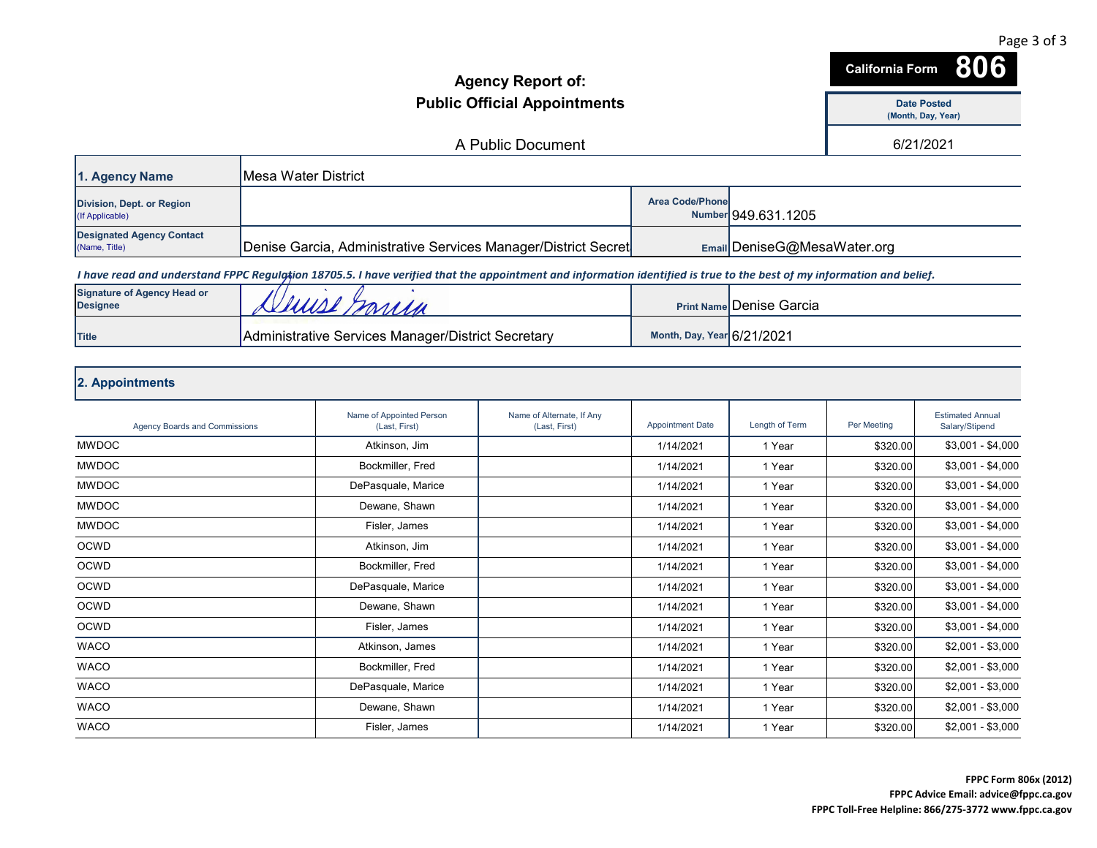|                                                       | <b>Agency Report of:</b><br><b>Public Official Appointments</b> |                                                                                                                                                                       |                                            |                         |                                 | 806<br><b>California Form</b>            |                                           |  |
|-------------------------------------------------------|-----------------------------------------------------------------|-----------------------------------------------------------------------------------------------------------------------------------------------------------------------|--------------------------------------------|-------------------------|---------------------------------|------------------------------------------|-------------------------------------------|--|
|                                                       |                                                                 |                                                                                                                                                                       |                                            |                         |                                 | <b>Date Posted</b><br>(Month, Day, Year) |                                           |  |
|                                                       |                                                                 |                                                                                                                                                                       | A Public Document                          |                         |                                 |                                          | 6/21/2021                                 |  |
| 1. Agency Name                                        | <b>Mesa Water District</b>                                      |                                                                                                                                                                       |                                            |                         |                                 |                                          |                                           |  |
|                                                       |                                                                 |                                                                                                                                                                       |                                            |                         |                                 |                                          |                                           |  |
| Division, Dept. or Region<br>(If Applicable)          |                                                                 |                                                                                                                                                                       |                                            | <b>Area Code/Phone</b>  | Number 949.631.1205             |                                          |                                           |  |
| <b>Designated Agency Contact</b><br>(Name, Title)     |                                                                 | Denise Garcia, Administrative Services Manager/District Secret                                                                                                        |                                            |                         | Email DeniseG@MesaWater.org     |                                          |                                           |  |
|                                                       |                                                                 | I have read and understand FPPC Regulation 18705.5. I have verified that the appointment and information identified is true to the best of my information and belief. |                                            |                         |                                 |                                          |                                           |  |
| <b>Signature of Agency Head or</b><br><b>Designee</b> |                                                                 |                                                                                                                                                                       |                                            |                         | <b>Print Name Denise Garcia</b> |                                          |                                           |  |
| Title                                                 |                                                                 | Administrative Services Manager/District Secretary                                                                                                                    |                                            |                         | Month, Day, Year 6/21/2021      |                                          |                                           |  |
|                                                       |                                                                 |                                                                                                                                                                       |                                            |                         |                                 |                                          |                                           |  |
| 2. Appointments                                       |                                                                 |                                                                                                                                                                       |                                            |                         |                                 |                                          |                                           |  |
| <b>Agency Boards and Commissions</b>                  |                                                                 | Name of Appointed Person<br>(Last, First)                                                                                                                             | Name of Alternate, If Any<br>(Last, First) | <b>Appointment Date</b> | Length of Term                  | Per Meeting                              | <b>Estimated Annual</b><br>Salary/Stipend |  |
| <b>MWDOC</b>                                          |                                                                 | Atkinson, Jim                                                                                                                                                         |                                            | 1/14/2021               | 1 Year                          | \$320.00                                 | $$3,001 - $4,000$                         |  |
| <b>MWDOC</b>                                          |                                                                 | Bockmiller, Fred                                                                                                                                                      |                                            | 1/14/2021               | 1 Year                          | \$320.00                                 | $$3,001 - $4,000$                         |  |
| <b>MWDOC</b>                                          |                                                                 | DePasquale, Marice                                                                                                                                                    |                                            | 1/14/2021               | 1 Year                          | \$320.00                                 | $$3,001 - $4,000$                         |  |
| <b>MWDOC</b>                                          |                                                                 | Dewane, Shawn                                                                                                                                                         |                                            | 1/14/2021               | 1 Year                          | \$320.00                                 | $$3,001 - $4,000$                         |  |
| <b>MWDOC</b>                                          |                                                                 | Fisler, James                                                                                                                                                         |                                            | 1/14/2021               | 1 Year                          | \$320.00                                 | $$3,001 - $4,000$                         |  |
| <b>OCWD</b>                                           |                                                                 | Atkinson, Jim                                                                                                                                                         |                                            | 1/14/2021               | 1 Year                          | \$320.00                                 | $$3,001 - $4,000$                         |  |
| <b>OCWD</b>                                           |                                                                 | Bockmiller, Fred                                                                                                                                                      |                                            | 1/14/2021               | 1 Year                          | \$320.00                                 | $$3,001 - $4,000$                         |  |
| <b>OCWD</b>                                           |                                                                 | DePasquale, Marice                                                                                                                                                    |                                            | 1/14/2021               | 1 Year                          | \$320.00                                 | $$3,001 - $4,000$                         |  |
| <b>OCWD</b>                                           |                                                                 | Dewane, Shawn                                                                                                                                                         |                                            | 1/14/2021               | 1 Year                          | \$320.00                                 | $$3,001 - $4,000$                         |  |
| <b>OCWD</b>                                           |                                                                 | Fisler, James                                                                                                                                                         |                                            | 1/14/2021               | 1 Year                          | \$320.00                                 | $$3,001 - $4,000$                         |  |
| <b>WACO</b>                                           |                                                                 | Atkinson, James                                                                                                                                                       |                                            | 1/14/2021               | 1 Year                          | \$320.00                                 | $$2,001 - $3,000$                         |  |
| <b>WACO</b>                                           |                                                                 | Bockmiller, Fred                                                                                                                                                      |                                            | 1/14/2021               | 1 Year                          | \$320.00                                 | $$2,001 - $3,000$                         |  |
| <b>WACO</b>                                           |                                                                 | DePasquale, Marice                                                                                                                                                    |                                            | 1/14/2021               | 1 Year                          | \$320.00                                 | $$2,001 - $3,000$                         |  |
| <b>WACO</b>                                           |                                                                 | Dewane, Shawn                                                                                                                                                         |                                            | 1/14/2021               | 1 Year                          | \$320.00                                 | $$2,001 - $3,000$                         |  |
| <b>WACO</b>                                           |                                                                 | Fisler, James                                                                                                                                                         |                                            | 1/14/2021               | 1 Year                          | \$320.00                                 | $$2,001 - $3,000$                         |  |

Page 3 of 3